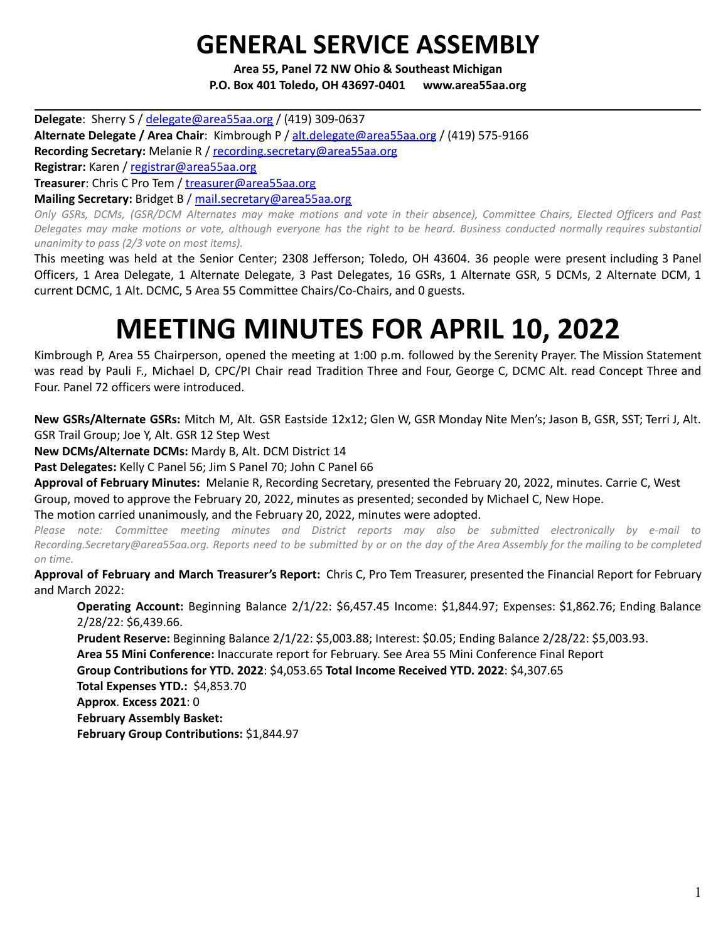## **GENERAL SERVICE ASSEMBLY**

**Area 55, Panel 72 NW Ohio & Southeast Michigan P.O. Box 401 Toledo, OH 43697-0401 www.area55aa.org**

**Delegate**: Sherry S / [delegate@area55aa.org](mailto:delegate@area55aa.org) / (419) 309-0637 **Alternate Delegate / Area Chair**: Kimbrough P / [alt.delegate@area55aa.org](mailto:alt.delegate@area55aa.org) / (419) 575-9166 **Recording Secretary:** Melanie R / [recording.secretary@area55aa.org](mailto:recording.secretary@area55aa.org) **Registrar:** Karen / [registrar@area55aa.org](mailto:recording.secretary@area55aa.org) **Treasurer**: Chris C Pro Tem / [treasurer@area55aa.org](mailto:recording.secretary@area55aa.org) **Mailing Secretary:** Bridget B / [mail.secretary@area55aa.org](mailto:recording.secretary@area55aa.org) Only GSRs, DCMs, (GSR/DCM Alternates may make motions and vote in their absence), Committee Chairs, Elected Officers and Past

Delegates may make motions or vote, although everyone has the right to be heard. Business conducted normally requires substantial *unanimity to pass (2/3 vote on most items).*

This meeting was held at the Senior Center; 2308 Jefferson; Toledo, OH 43604. 36 people were present including 3 Panel Officers, 1 Area Delegate, 1 Alternate Delegate, 3 Past Delegates, 16 GSRs, 1 Alternate GSR, 5 DCMs, 2 Alternate DCM, 1 current DCMC, 1 Alt. DCMC, 5 Area 55 Committee Chairs/Co-Chairs, and 0 guests.

# **MEETING MINUTES FOR APRIL 10, 2022**

Kimbrough P, Area 55 Chairperson, opened the meeting at 1:00 p.m. followed by the Serenity Prayer. The Mission Statement was read by Pauli F., Michael D, CPC/PI Chair read Tradition Three and Four, George C, DCMC Alt. read Concept Three and Four. Panel 72 officers were introduced.

**New GSRs/Alternate GSRs:** Mitch M, Alt. GSR Eastside 12x12; Glen W, GSR Monday Nite Men's; Jason B, GSR, SST; Terri J, Alt. GSR Trail Group; Joe Y, Alt. GSR 12 Step West

**New DCMs/Alternate DCMs:** Mardy B, Alt. DCM District 14

**Past Delegates:** Kelly C Panel 56; Jim S Panel 70; John C Panel 66

**Approval of February Minutes:** Melanie R, Recording Secretary, presented the February 20, 2022, minutes. Carrie C, West Group, moved to approve the February 20, 2022, minutes as presented; seconded by Michael C, New Hope.

The motion carried unanimously, and the February 20, 2022, minutes were adopted.

*Please note: Committee meeting minutes and District reports may also be submitted electronically by e-mail to* Recording.Secretary@area55aa.org. Reports need to be submitted by or on the day of the Area Assembly for the mailing to be completed *on time.*

**Approval of February and March Treasurer's Report:** Chris C, Pro Tem Treasurer, presented the Financial Report for February and March 2022:

**Operating Account:** Beginning Balance 2/1/22: \$6,457.45 Income: \$1,844.97; Expenses: \$1,862.76; Ending Balance 2/28/22: \$6,439.66.

**Prudent Reserve:** Beginning Balance 2/1/22: \$5,003.88; Interest: \$0.05; Ending Balance 2/28/22: \$5,003.93.

**Area 55 Mini Conference:** Inaccurate report for February. See Area 55 Mini Conference Final Report

**Group Contributions for YTD. 2022**: \$4,053.65 **Total Income Received YTD. 2022**: \$4,307.65

**Total Expenses YTD.:** \$4,853.70

**Approx**. **Excess 2021**: 0

**February Assembly Basket:**

**February Group Contributions:** \$1,844.97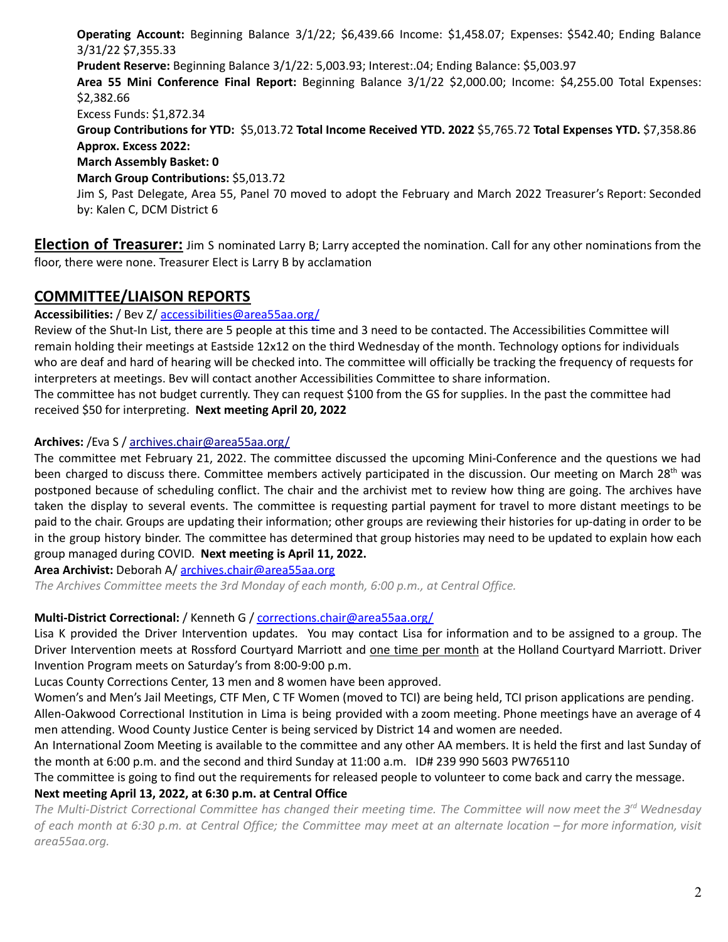**Operating Account:** Beginning Balance 3/1/22; \$6,439.66 Income: \$1,458.07; Expenses: \$542.40; Ending Balance 3/31/22 \$7,355.33 **Prudent Reserve:** Beginning Balance 3/1/22: 5,003.93; Interest:.04; Ending Balance: \$5,003.97 **Area 55 Mini Conference Final Report:** Beginning Balance 3/1/22 \$2,000.00; Income: \$4,255.00 Total Expenses: \$2,382.66 Excess Funds: \$1,872.34 **Group Contributions for YTD:** \$5,013.72 **Total Income Received YTD. 2022** \$5,765.72 **Total Expenses YTD.** \$7,358.86 **Approx. Excess 2022: March Assembly Basket: 0 March Group Contributions:** \$5,013.72 Jim S, Past Delegate, Area 55, Panel 70 moved to adopt the February and March 2022 Treasurer's Report: Seconded by: Kalen C, DCM District 6

**Election of Treasurer:** Jim S nominated Larry B; Larry accepted the nomination. Call for any other nominations from the floor, there were none. Treasurer Elect is Larry B by acclamation

## **COMMITTEE/LIAISON REPORTS**

**Accessibilities:** / Bev Z/ accessibilities@area55aa.org/

Review of the Shut-In List, there are 5 people at this time and 3 need to be contacted. The Accessibilities Committee will remain holding their meetings at Eastside 12x12 on the third Wednesday of the month. Technology options for individuals who are deaf and hard of hearing will be checked into. The committee will officially be tracking the frequency of requests for interpreters at meetings. Bev will contact another Accessibilities Committee to share information.

The committee has not budget currently. They can request \$100 from the GS for supplies. In the past the committee had received \$50 for interpreting. **Next meeting April 20, 2022**

## **Archives:** /Eva S / archives.chair@area55aa.org/

The committee met February 21, 2022. The committee discussed the upcoming Mini-Conference and the questions we had been charged to discuss there. Committee members actively participated in the discussion. Our meeting on March 28<sup>th</sup> was postponed because of scheduling conflict. The chair and the archivist met to review how thing are going. The archives have taken the display to several events. The committee is requesting partial payment for travel to more distant meetings to be paid to the chair. Groups are updating their information; other groups are reviewing their histories for up-dating in order to be in the group history binder. The committee has determined that group histories may need to be updated to explain how each group managed during COVID. **Next meeting is April 11, 2022.**

**Area Archivist:** Deborah A/ [archives.chair@area55aa.org](mailto:archives.chair@area55aa.org)

*The Archives Committee meets the 3rd Monday of each month, 6:00 p.m., at Central Office.*

## **Multi-District Correctional:** / Kenneth G / corrections.chair@area55aa.org/

Lisa K provided the Driver Intervention updates. You may contact Lisa for information and to be assigned to a group. The Driver Intervention meets at Rossford Courtyard Marriott and one time per month at the Holland Courtyard Marriott. Driver Invention Program meets on Saturday's from 8:00-9:00 p.m.

Lucas County Corrections Center, 13 men and 8 women have been approved.

Women's and Men's Jail Meetings, CTF Men, C TF Women (moved to TCI) are being held, TCI prison applications are pending. Allen-Oakwood Correctional Institution in Lima is being provided with a zoom meeting. Phone meetings have an average of 4 men attending. Wood County Justice Center is being serviced by District 14 and women are needed.

An International Zoom Meeting is available to the committee and any other AA members. It is held the first and last Sunday of the month at 6:00 p.m. and the second and third Sunday at 11:00 a.m. ID# 239 990 5603 PW765110

The committee is going to find out the requirements for released people to volunteer to come back and carry the message.

#### **Next meeting April 13, 2022, at 6:30 p.m. at Central Office**

The Multi-District Correctional Committee has changed their meeting time. The Committee will now meet the 3rd Wednesday of each month at 6:30 p.m. at Central Office; the Committee may meet at an alternate location – for more information, visit *area55aa.org.*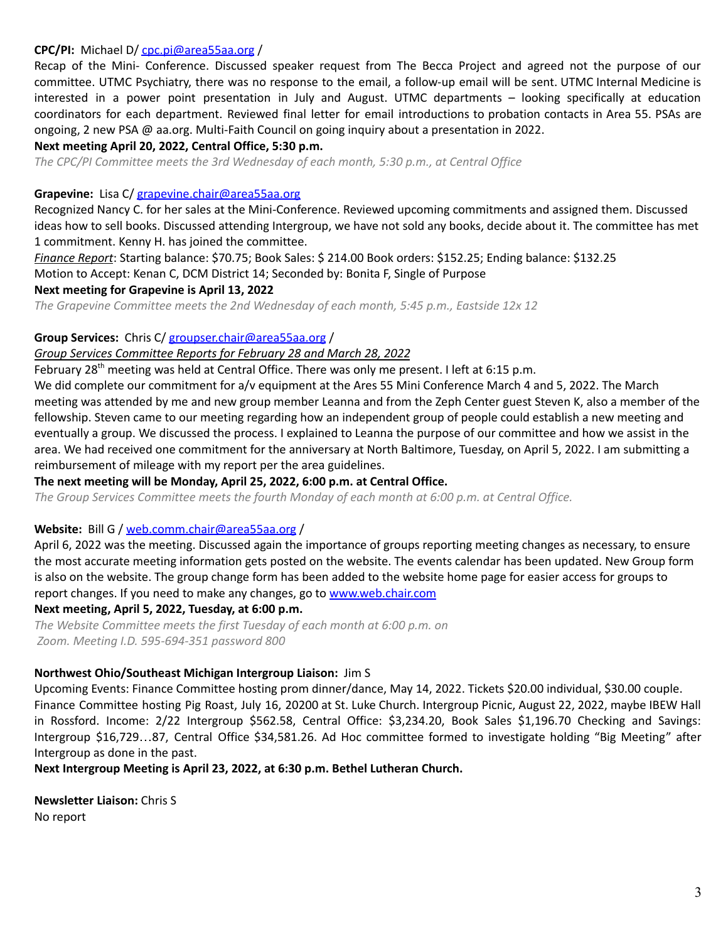#### **CPC/PI:** Michael D/ [cpc.pi@area55aa.org](mailto:cpc.pi@area55aa.org) /

Recap of the Mini- Conference. Discussed speaker request from The Becca Project and agreed not the purpose of our committee. UTMC Psychiatry, there was no response to the email, a follow-up email will be sent. UTMC Internal Medicine is interested in a power point presentation in July and August. UTMC departments – looking specifically at education coordinators for each department. Reviewed final letter for email introductions to probation contacts in Area 55. PSAs are ongoing, 2 new PSA @ aa.org. Multi-Faith Council on going inquiry about a presentation in 2022.

#### **Next meeting April 20, 2022, Central Office, 5:30 p.m.**

*The CPC/PI Committee meets the 3rd Wednesday of each month, 5:30 p.m., at Central Office*

#### **Grapevine:** Lisa C/ [grapevine.chair@area55aa.org](mailto:grapevine.chair@area55aa.org)

Recognized Nancy C. for her sales at the Mini-Conference. Reviewed upcoming commitments and assigned them. Discussed ideas how to sell books. Discussed attending Intergroup, we have not sold any books, decide about it. The committee has met 1 commitment. Kenny H. has joined the committee.

*Finance Report*: Starting balance: \$70.75; Book Sales: \$ 214.00 Book orders: \$152.25; Ending balance: \$132.25 Motion to Accept: Kenan C, DCM District 14; Seconded by: Bonita F, Single of Purpose

### **Next meeting for Grapevine is April 13, 2022**

*The Grapevine Committee meets the 2nd Wednesday of each month, 5:45 p.m., Eastside 12x 12*

#### **Group Services:** Chris C/ [groupser.chair@area55aa.org](mailto:groupser.chair@area55aa.org) /

#### *Group Services Committee Reports for February 28 and March 28, 2022*

February 28<sup>th</sup> meeting was held at Central Office. There was only me present. I left at 6:15 p.m.

We did complete our commitment for a/v equipment at the Ares 55 Mini Conference March 4 and 5, 2022. The March meeting was attended by me and new group member Leanna and from the Zeph Center guest Steven K, also a member of the fellowship. Steven came to our meeting regarding how an independent group of people could establish a new meeting and eventually a group. We discussed the process. I explained to Leanna the purpose of our committee and how we assist in the area. We had received one commitment for the anniversary at North Baltimore, Tuesday, on April 5, 2022. I am submitting a reimbursement of mileage with my report per the area guidelines.

#### **The next meeting will be Monday, April 25, 2022, 6:00 p.m. at Central Office.**

*The Group Services Committee meets the fourth Monday of each month at 6:00 p.m. at Central Office.*

#### **Website:** Bill G / [web.comm.chair@area55aa.org](mailto:web.comm.chair@area55aa.org) /

April 6, 2022 was the meeting. Discussed again the importance of groups reporting meeting changes as necessary, to ensure the most accurate meeting information gets posted on the website. The events calendar has been updated. New Group form is also on the website. The group change form has been added to the website home page for easier access for groups to report changes. If you need to make any changes, go to [www.web.chair.com](http://www.web.chair.com)

#### **Next meeting, April 5, 2022, Tuesday, at 6:00 p.m.**

*The Website Committee meets the first Tuesday of each month at 6:00 p.m. on Zoom. Meeting I.D. 595-694-351 password 800*

#### **Northwest Ohio/Southeast Michigan Intergroup Liaison:** Jim S

Upcoming Events: Finance Committee hosting prom dinner/dance, May 14, 2022. Tickets \$20.00 individual, \$30.00 couple. Finance Committee hosting Pig Roast, July 16, 20200 at St. Luke Church. Intergroup Picnic, August 22, 2022, maybe IBEW Hall in Rossford. Income: 2/22 Intergroup \$562.58, Central Office: \$3,234.20, Book Sales \$1,196.70 Checking and Savings: Intergroup \$16,729…87, Central Office \$34,581.26. Ad Hoc committee formed to investigate holding "Big Meeting" after Intergroup as done in the past.

**Next Intergroup Meeting is April 23, 2022, at 6:30 p.m. Bethel Lutheran Church.**

**Newsletter Liaison:** Chris S No report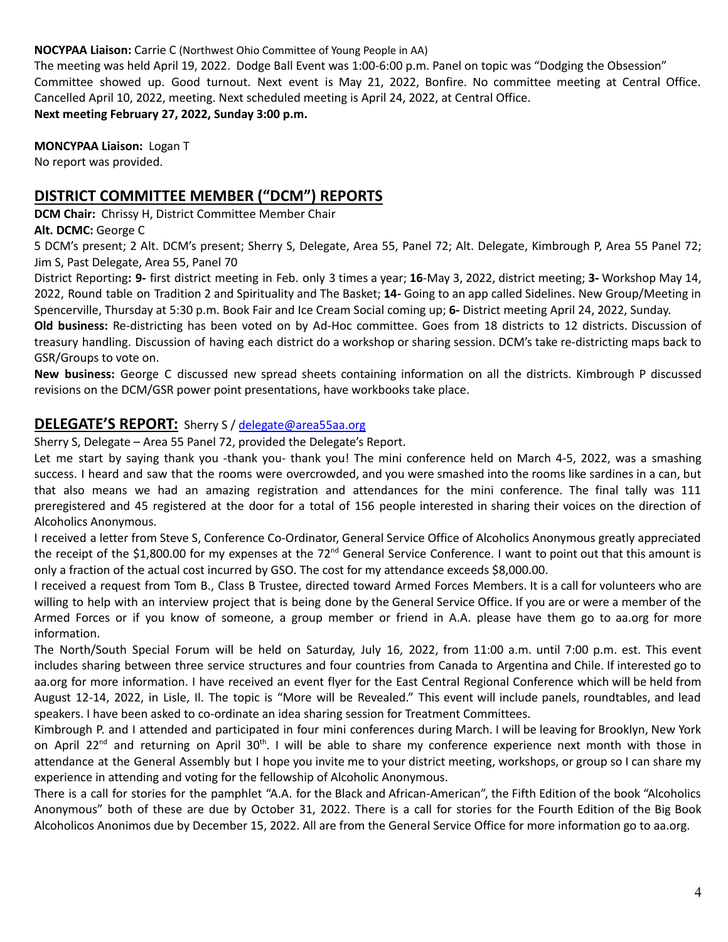#### **NOCYPAA Liaison:** Carrie C (Northwest Ohio Committee of Young People in AA)

The meeting was held April 19, 2022. Dodge Ball Event was 1:00-6:00 p.m. Panel on topic was "Dodging the Obsession" Committee showed up. Good turnout. Next event is May 21, 2022, Bonfire. No committee meeting at Central Office. Cancelled April 10, 2022, meeting. Next scheduled meeting is April 24, 2022, at Central Office. **Next meeting February 27, 2022, Sunday 3:00 p.m.**

**MONCYPAA Liaison:** Logan T No report was provided.

## **DISTRICT COMMITTEE MEMBER ("DCM") REPORTS**

**DCM Chair:** Chrissy H, District Committee Member Chair

**Alt. DCMC:** George C

5 DCM's present; 2 Alt. DCM's present; Sherry S, Delegate, Area 55, Panel 72; Alt. Delegate, Kimbrough P, Area 55 Panel 72; Jim S, Past Delegate, Area 55, Panel 70

District Reporting**: 9-** first district meeting in Feb. only 3 times a year; **16**-May 3, 2022, district meeting; **3-** Workshop May 14, 2022, Round table on Tradition 2 and Spirituality and The Basket; **14-** Going to an app called Sidelines. New Group/Meeting in Spencerville, Thursday at 5:30 p.m. Book Fair and Ice Cream Social coming up; **6-** District meeting April 24, 2022, Sunday.

**Old business:** Re-districting has been voted on by Ad-Hoc committee. Goes from 18 districts to 12 districts. Discussion of treasury handling. Discussion of having each district do a workshop or sharing session. DCM's take re-districting maps back to GSR/Groups to vote on.

**New business:** George C discussed new spread sheets containing information on all the districts. Kimbrough P discussed revisions on the DCM/GSR power point presentations, have workbooks take place.

## **DELEGATE'S REPORT:** Sherry S / [delegate@area55aa.org](mailto:delegate@area55aa.org)

Sherry S, Delegate – Area 55 Panel 72, provided the Delegate's Report.

Let me start by saying thank you -thank you- thank you! The mini conference held on March 4-5, 2022, was a smashing success. I heard and saw that the rooms were overcrowded, and you were smashed into the rooms like sardines in a can, but that also means we had an amazing registration and attendances for the mini conference. The final tally was 111 preregistered and 45 registered at the door for a total of 156 people interested in sharing their voices on the direction of Alcoholics Anonymous.

I received a letter from Steve S, Conference Co-Ordinator, General Service Office of Alcoholics Anonymous greatly appreciated the receipt of the \$1,800.00 for my expenses at the 72<sup>nd</sup> General Service Conference. I want to point out that this amount is only a fraction of the actual cost incurred by GSO. The cost for my attendance exceeds \$8,000.00.

I received a request from Tom B., Class B Trustee, directed toward Armed Forces Members. It is a call for volunteers who are willing to help with an interview project that is being done by the General Service Office. If you are or were a member of the Armed Forces or if you know of someone, a group member or friend in A.A. please have them go to aa.org for more information.

The North/South Special Forum will be held on Saturday, July 16, 2022, from 11:00 a.m. until 7:00 p.m. est. This event includes sharing between three service structures and four countries from Canada to Argentina and Chile. If interested go to aa.org for more information. I have received an event flyer for the East Central Regional Conference which will be held from August 12-14, 2022, in Lisle, Il. The topic is "More will be Revealed." This event will include panels, roundtables, and lead speakers. I have been asked to co-ordinate an idea sharing session for Treatment Committees.

Kimbrough P. and I attended and participated in four mini conferences during March. I will be leaving for Brooklyn, New York on April 22<sup>nd</sup> and returning on April 30<sup>th</sup>. I will be able to share my conference experience next month with those in attendance at the General Assembly but I hope you invite me to your district meeting, workshops, or group so I can share my experience in attending and voting for the fellowship of Alcoholic Anonymous.

There is a call for stories for the pamphlet "A.A. for the Black and African-American", the Fifth Edition of the book "Alcoholics Anonymous" both of these are due by October 31, 2022. There is a call for stories for the Fourth Edition of the Big Book Alcoholicos Anonimos due by December 15, 2022. All are from the General Service Office for more information go to aa.org.